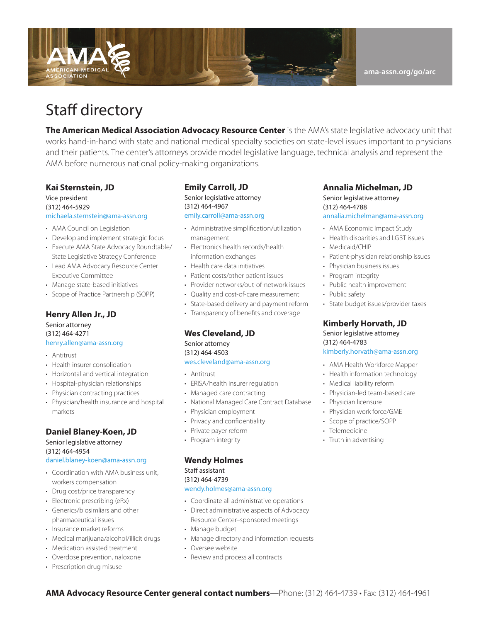

## Staff directory

**The American Medical Association Advocacy Resource Center** is the AMA's state legislative advocacy unit that works hand-in-hand with state and national medical specialty societies on state-level issues important to physicians and their patients. The center's attorneys provide model legislative language, technical analysis and represent the AMA before numerous national policy-making organizations.

#### **Kai Sternstein, JD**

#### Vice president (312) 464-5929 [michaela.sternstein@ama-assn.org](mailto:michaela.sternstein@ama-assn.org)

- AMA Council on Legislation
- Develop and implement strategic focus
- Execute AMA State Advocacy Roundtable/ State Legislative Strategy Conference
- Lead AMA Advocacy Resource Center Executive Committee
- Manage state-based initiatives
- Scope of Practice Partnership (SOPP)

## **Henry Allen Jr., JD**

Senior attorney (312) 464-4271 [henry.allen@ama-assn.org](mailto:henry.allen@ama-assn.org)

- Antitrust
- Health insurer consolidation
- Horizontal and vertical integration
- Hospital-physician relationships
- Physician contracting practices
- Physician/health insurance and hospital markets

#### **Daniel Blaney-Koen, JD**

### Senior legislative attorney (312) 464-4954

#### [daniel.blaney-koen@ama-assn.org](mailto:daniel.blaney-koen@ama-assn.org)

- Coordination with AMA business unit, workers compensation
- Drug cost/price transparency
- Electronic prescribing (eRx)
- Generics/biosimliars and other pharmaceutical issues
- Insurance market reforms
- Medical marijuana/alcohol/illicit drugs
- Medication assisted treatment
- Overdose prevention, naloxone
- Prescription drug misuse

#### **Emily Carroll, JD**

Senior legislative attorney (312) 464-4967 [emily.carroll@ama-assn.org](mailto:emily.niederman@ama-assn.org)

- Administrative simplification/utilization management
- Electronics health records/health information exchanges
- Health care data initiatives
- Patient costs/other patient issues
- Provider networks/out-of-network issues
- Quality and cost-of-care measurement
- State-based delivery and payment reform
- Transparency of benefits and coverage

#### **Wes Cleveland, JD**

Senior attorney (312) 464-4503 [wes.cleveland@ama-assn.org](mailto:wes.cleveland@ama-assn.org)

- Antitrust
- ERISA/health insurer regulation
- Managed care contracting
- National Managed Care Contract Database
- Physician employment
- Privacy and confidentiality
- Private payer reform
- Program integrity

#### **Wendy Holmes**

#### Staff assistant (312) 464-4739 [wendy.holmes@ama-assn.org](mailto:wendy.holmes@ama-assn.org)

- Coordinate all administrative operations
- Direct administrative aspects of Advocacy Resource Center–sponsored meetings
- Manage budget
- Manage directory and information requests
- Oversee website
- Review and process all contracts

#### **Annalia Michelman, JD** Senior legislative attorney (312) 464-4788 [annalia.michelman@ama-assn.org](mailto:annalia.michelman@ama-assn.org)

- AMA Economic Impact Study
- Health disparities and LGBT issues
- Medicaid/CHIP
- Patient-physician relationship issues
- Physician business issues
- Program integrity
- Public health improvement
- Public safety
- State budget issues/provider taxes

#### **Kimberly Horvath, JD**

Senior legislative attorney (312) 464-4783 [kimberly.horvath](mailto:kristin.schleiter@ama-assn.org)@ama-assn.org

- AMA Health Workforce Mapper
- Health information technology
- Medical liability reform
- Physician-led team-based care
- Physician licensure
- Physician work force/GME
- Scope of practice/SOPP
- Telemedicine
- Truth in advertising